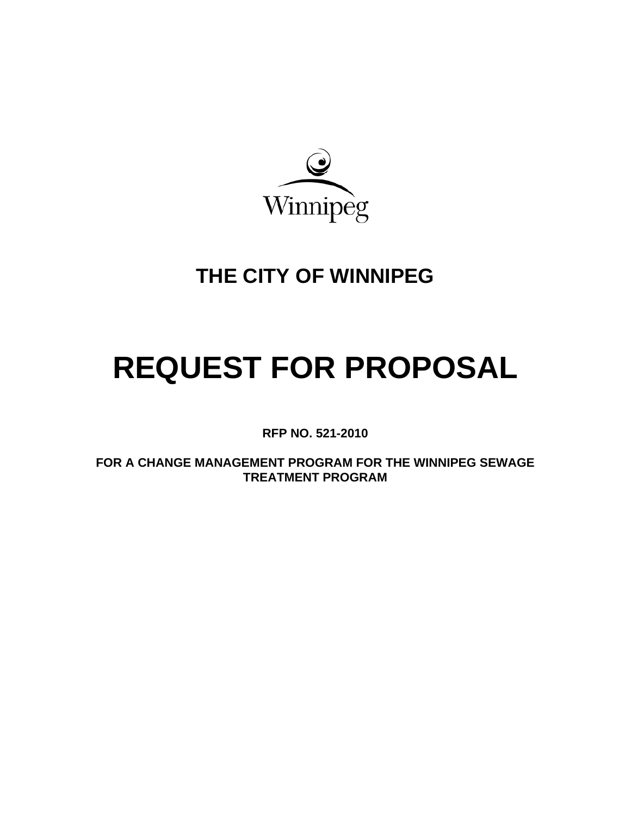

# **THE CITY OF WINNIPEG**

# **REQUEST FOR PROPOSAL**

**RFP NO. 521-2010** 

**FOR A CHANGE MANAGEMENT PROGRAM FOR THE WINNIPEG SEWAGE TREATMENT PROGRAM**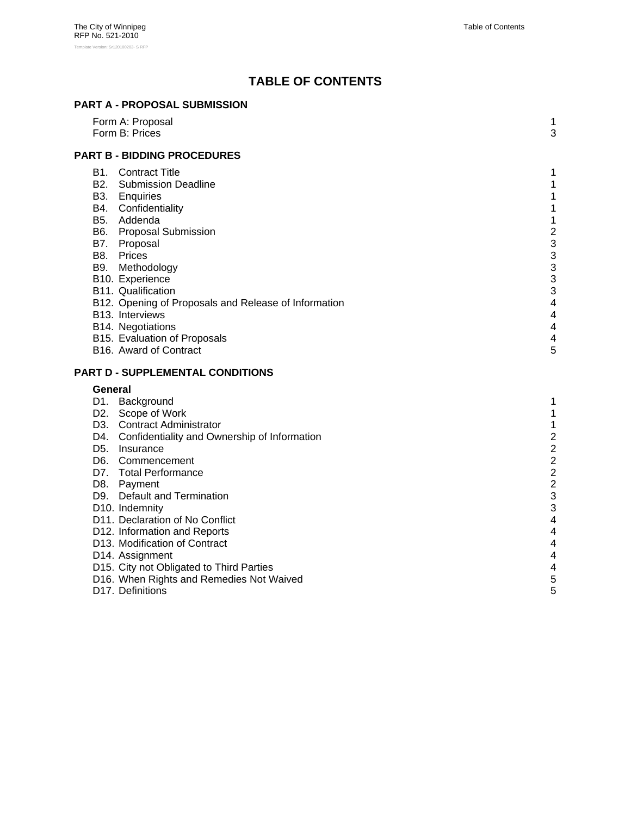# **TABLE OF CONTENTS**

# **PART A - PROPOSAL SUBMISSION**

|         | Form A: Proposal<br>Form B: Prices                   | 1<br>3                       |
|---------|------------------------------------------------------|------------------------------|
|         |                                                      |                              |
|         | <b>PART B - BIDDING PROCEDURES</b>                   |                              |
|         | <b>B1.</b> Contract Title                            | 1                            |
|         | <b>B2.</b> Submission Deadline                       | 1                            |
|         | B3. Enquiries                                        | 1                            |
|         | B4. Confidentiality                                  | 1                            |
|         | B5. Addenda                                          | 1                            |
|         | B6. Proposal Submission<br>B7. Proposal              | $\overline{\mathbf{c}}$<br>3 |
|         | B8. Prices                                           | 3                            |
|         | B9. Methodology                                      | 3                            |
|         | B10. Experience                                      | 3                            |
|         | B11. Qualification                                   | 3                            |
|         | B12. Opening of Proposals and Release of Information | 4                            |
|         | B13. Interviews                                      | 4                            |
|         | B14. Negotiations                                    | 4                            |
|         | B15. Evaluation of Proposals                         | 4                            |
|         | B <sub>16</sub> . Award of Contract                  | 5                            |
|         | PART D - SUPPLEMENTAL CONDITIONS                     |                              |
| General |                                                      |                              |
|         | D1. Background                                       | 1                            |
|         | D2. Scope of Work                                    | 1                            |
|         | D3. Contract Administrator                           | 1                            |
|         | D4. Confidentiality and Ownership of Information     | $\overline{a}$               |
|         | D5. Insurance                                        | $\overline{a}$               |
|         | D6. Commencement                                     | $\overline{c}$               |
|         | D7. Total Performance                                | $\overline{a}$               |
|         | D8. Payment                                          | $\overline{2}$               |
|         | D9. Default and Termination                          | 3                            |
|         | D10. Indemnity                                       | 3                            |
|         | D11. Declaration of No Conflict                      | $\overline{4}$               |
|         | D12. Information and Reports                         | 4                            |
|         | D13. Modification of Contract                        | 4                            |
|         | D14. Assignment                                      | 4                            |
|         | D15. City not Obligated to Third Parties             | 4                            |
|         | D16. When Rights and Remedies Not Waived             | 5                            |
|         | D17. Definitions                                     | 5                            |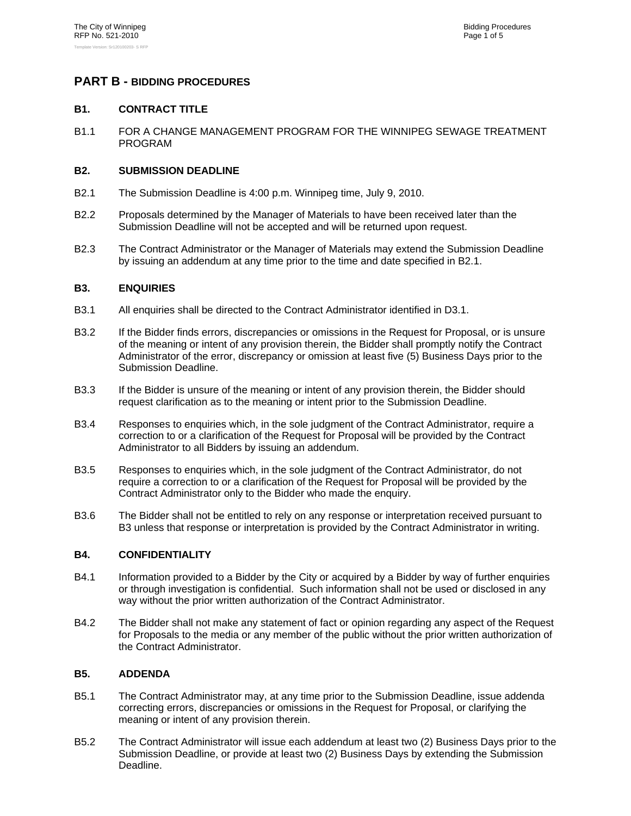# **PART B - BIDDING PROCEDURES**

# **B1. CONTRACT TITLE**

B1.1 FOR A CHANGE MANAGEMENT PROGRAM FOR THE WINNIPEG SEWAGE TREATMENT PROGRAM

# **B2. SUBMISSION DEADLINE**

- B2.1 The Submission Deadline is 4:00 p.m. Winnipeg time, July 9, 2010.
- B2.2 Proposals determined by the Manager of Materials to have been received later than the Submission Deadline will not be accepted and will be returned upon request.
- B2.3 The Contract Administrator or the Manager of Materials may extend the Submission Deadline by issuing an addendum at any time prior to the time and date specified in B2.1.

# **B3. ENQUIRIES**

- B3.1 All enquiries shall be directed to the Contract Administrator identified in D3.1.
- B3.2 If the Bidder finds errors, discrepancies or omissions in the Request for Proposal, or is unsure of the meaning or intent of any provision therein, the Bidder shall promptly notify the Contract Administrator of the error, discrepancy or omission at least five (5) Business Days prior to the Submission Deadline.
- B3.3 If the Bidder is unsure of the meaning or intent of any provision therein, the Bidder should request clarification as to the meaning or intent prior to the Submission Deadline.
- B3.4 Responses to enquiries which, in the sole judgment of the Contract Administrator, require a correction to or a clarification of the Request for Proposal will be provided by the Contract Administrator to all Bidders by issuing an addendum.
- B3.5 Responses to enquiries which, in the sole judgment of the Contract Administrator, do not require a correction to or a clarification of the Request for Proposal will be provided by the Contract Administrator only to the Bidder who made the enquiry.
- B3.6 The Bidder shall not be entitled to rely on any response or interpretation received pursuant to B3 unless that response or interpretation is provided by the Contract Administrator in writing.

# **B4. CONFIDENTIALITY**

- B4.1 Information provided to a Bidder by the City or acquired by a Bidder by way of further enquiries or through investigation is confidential. Such information shall not be used or disclosed in any way without the prior written authorization of the Contract Administrator.
- B4.2 The Bidder shall not make any statement of fact or opinion regarding any aspect of the Request for Proposals to the media or any member of the public without the prior written authorization of the Contract Administrator.

# **B5. ADDENDA**

- B5.1 The Contract Administrator may, at any time prior to the Submission Deadline, issue addenda correcting errors, discrepancies or omissions in the Request for Proposal, or clarifying the meaning or intent of any provision therein.
- B5.2 The Contract Administrator will issue each addendum at least two (2) Business Days prior to the Submission Deadline, or provide at least two (2) Business Days by extending the Submission Deadline.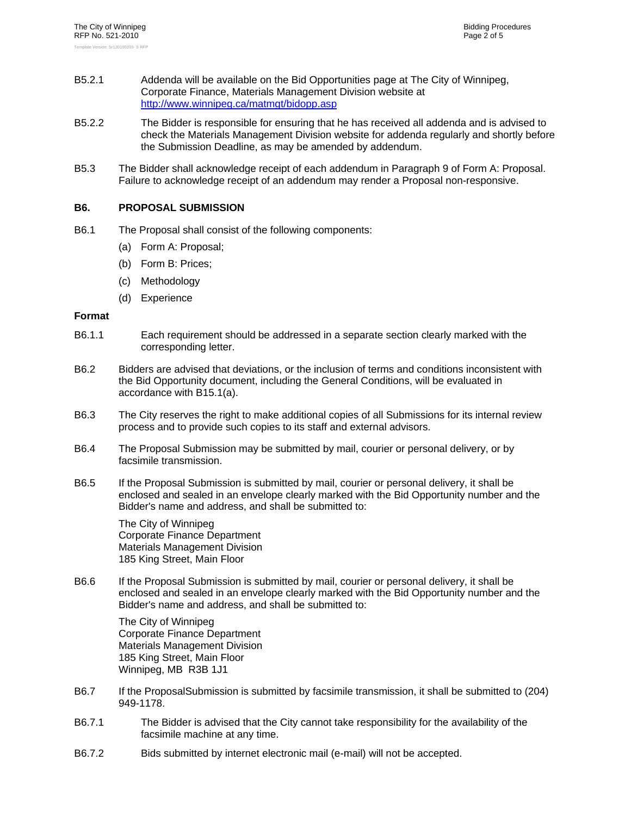- B5.2.1 Addenda will be available on the Bid Opportunities page at The City of Winnipeg, Corporate Finance, Materials Management Division website at http://www.winnipeg.ca/matmgt/bidopp.asp
- B5.2.2 The Bidder is responsible for ensuring that he has received all addenda and is advised to check the Materials Management Division website for addenda regularly and shortly before the Submission Deadline, as may be amended by addendum.
- B5.3 The Bidder shall acknowledge receipt of each addendum in Paragraph 9 of Form A: Proposal. Failure to acknowledge receipt of an addendum may render a Proposal non-responsive.

# **B6. PROPOSAL SUBMISSION**

- B6.1 The Proposal shall consist of the following components:
	- (a) Form A: Proposal;
	- (b) Form B: Prices;
	- (c) Methodology
	- (d) Experience

# **Format**

- B6.1.1 Each requirement should be addressed in a separate section clearly marked with the corresponding letter.
- B6.2 Bidders are advised that deviations, or the inclusion of terms and conditions inconsistent with the Bid Opportunity document, including the General Conditions, will be evaluated in accordance with B15.1(a).
- B6.3 The City reserves the right to make additional copies of all Submissions for its internal review process and to provide such copies to its staff and external advisors.
- B6.4 The Proposal Submission may be submitted by mail, courier or personal delivery, or by facsimile transmission.
- B6.5 If the Proposal Submission is submitted by mail, courier or personal delivery, it shall be enclosed and sealed in an envelope clearly marked with the Bid Opportunity number and the Bidder's name and address, and shall be submitted to:

The City of Winnipeg Corporate Finance Department Materials Management Division 185 King Street, Main Floor

B6.6 If the Proposal Submission is submitted by mail, courier or personal delivery, it shall be enclosed and sealed in an envelope clearly marked with the Bid Opportunity number and the Bidder's name and address, and shall be submitted to:

The City of Winnipeg Corporate Finance Department Materials Management Division 185 King Street, Main Floor Winnipeg, MB R3B 1J1

- B6.7 If the ProposalSubmission is submitted by facsimile transmission, it shall be submitted to (204) 949-1178.
- B6.7.1 The Bidder is advised that the City cannot take responsibility for the availability of the facsimile machine at any time.
- B6.7.2 Bids submitted by internet electronic mail (e-mail) will not be accepted.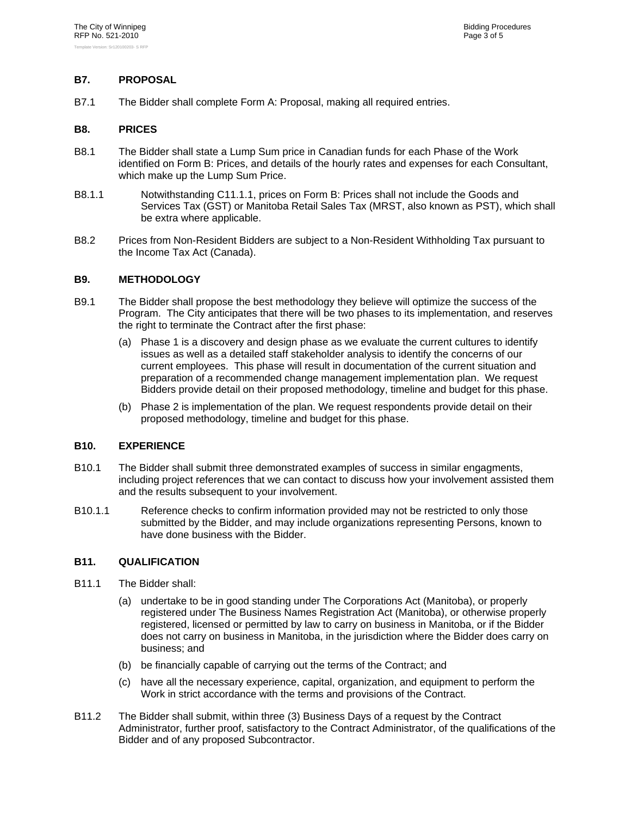# **B7. PROPOSAL**

B7.1 The Bidder shall complete Form A: Proposal, making all required entries.

#### **B8. PRICES**

- B8.1 The Bidder shall state a Lump Sum price in Canadian funds for each Phase of the Work identified on Form B: Prices, and details of the hourly rates and expenses for each Consultant, which make up the Lump Sum Price.
- B8.1.1 Notwithstanding C11.1.1, prices on Form B: Prices shall not include the Goods and Services Tax (GST) or Manitoba Retail Sales Tax (MRST, also known as PST), which shall be extra where applicable.
- B8.2 Prices from Non-Resident Bidders are subject to a Non-Resident Withholding Tax pursuant to the Income Tax Act (Canada).

# **B9. METHODOLOGY**

- B9.1 The Bidder shall propose the best methodology they believe will optimize the success of the Program. The City anticipates that there will be two phases to its implementation, and reserves the right to terminate the Contract after the first phase:
	- (a) Phase 1 is a discovery and design phase as we evaluate the current cultures to identify issues as well as a detailed staff stakeholder analysis to identify the concerns of our current employees. This phase will result in documentation of the current situation and preparation of a recommended change management implementation plan. We request Bidders provide detail on their proposed methodology, timeline and budget for this phase.
	- (b) Phase 2 is implementation of the plan. We request respondents provide detail on their proposed methodology, timeline and budget for this phase.

# **B10. EXPERIENCE**

- B10.1 The Bidder shall submit three demonstrated examples of success in similar engagments, including project references that we can contact to discuss how your involvement assisted them and the results subsequent to your involvement.
- B10.1.1 Reference checks to confirm information provided may not be restricted to only those submitted by the Bidder, and may include organizations representing Persons, known to have done business with the Bidder.

# **B11. QUALIFICATION**

- B11.1 The Bidder shall:
	- (a) undertake to be in good standing under The Corporations Act (Manitoba), or properly registered under The Business Names Registration Act (Manitoba), or otherwise properly registered, licensed or permitted by law to carry on business in Manitoba, or if the Bidder does not carry on business in Manitoba, in the jurisdiction where the Bidder does carry on business; and
	- (b) be financially capable of carrying out the terms of the Contract; and
	- (c) have all the necessary experience, capital, organization, and equipment to perform the Work in strict accordance with the terms and provisions of the Contract.
- B11.2 The Bidder shall submit, within three (3) Business Days of a request by the Contract Administrator, further proof, satisfactory to the Contract Administrator, of the qualifications of the Bidder and of any proposed Subcontractor.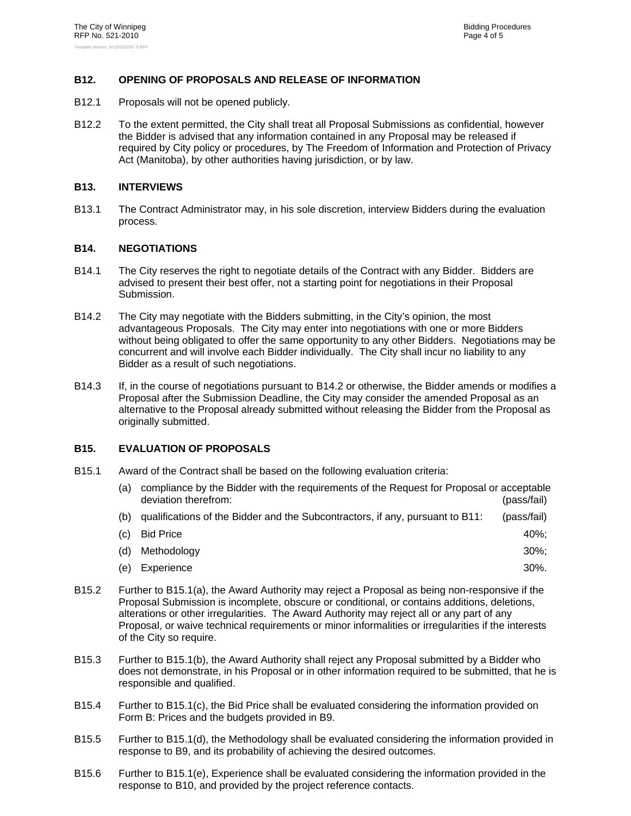# **B12. OPENING OF PROPOSALS AND RELEASE OF INFORMATION**

- B12.1 Proposals will not be opened publicly.
- B12.2 To the extent permitted, the City shall treat all Proposal Submissions as confidential, however the Bidder is advised that any information contained in any Proposal may be released if required by City policy or procedures, by The Freedom of Information and Protection of Privacy Act (Manitoba), by other authorities having jurisdiction, or by law.

#### **B13. INTERVIEWS**

B13.1 The Contract Administrator may, in his sole discretion, interview Bidders during the evaluation process.

#### **B14. NEGOTIATIONS**

- B14.1 The City reserves the right to negotiate details of the Contract with any Bidder. Bidders are advised to present their best offer, not a starting point for negotiations in their Proposal Submission.
- B14.2 The City may negotiate with the Bidders submitting, in the City's opinion, the most advantageous Proposals. The City may enter into negotiations with one or more Bidders without being obligated to offer the same opportunity to any other Bidders. Negotiations may be concurrent and will involve each Bidder individually. The City shall incur no liability to any Bidder as a result of such negotiations.
- B14.3 If, in the course of negotiations pursuant to B14.2 or otherwise, the Bidder amends or modifies a Proposal after the Submission Deadline, the City may consider the amended Proposal as an alternative to the Proposal already submitted without releasing the Bidder from the Proposal as originally submitted.

# **B15. EVALUATION OF PROPOSALS**

B15.1 Award of the Contract shall be based on the following evaluation criteria:

| (a) | compliance by the Bidder with the requirements of the Request for Proposal or acceptable<br>deviation therefrom: | (pass/fail) |
|-----|------------------------------------------------------------------------------------------------------------------|-------------|
| (b) | qualifications of the Bidder and the Subcontractors, if any, pursuant to B11:                                    | (pass/fail) |
| (C) | <b>Bid Price</b>                                                                                                 | 40%:        |
| (d) | Methodology                                                                                                      | $30\%$ :    |
| (e) | Experience                                                                                                       | $30\%$ .    |

- B15.2 Further to B15.1(a), the Award Authority may reject a Proposal as being non-responsive if the Proposal Submission is incomplete, obscure or conditional, or contains additions, deletions, alterations or other irregularities. The Award Authority may reject all or any part of any Proposal, or waive technical requirements or minor informalities or irregularities if the interests of the City so require.
- B15.3 Further to B15.1(b), the Award Authority shall reject any Proposal submitted by a Bidder who does not demonstrate, in his Proposal or in other information required to be submitted, that he is responsible and qualified.
- B15.4 Further to B15.1(c), the Bid Price shall be evaluated considering the information provided on Form B: Prices and the budgets provided in B9.
- B15.5 Further to B15.1(d), the Methodology shall be evaluated considering the information provided in response to B9, and its probability of achieving the desired outcomes.
- B15.6 Further to B15.1(e), Experience shall be evaluated considering the information provided in the response to B10, and provided by the project reference contacts.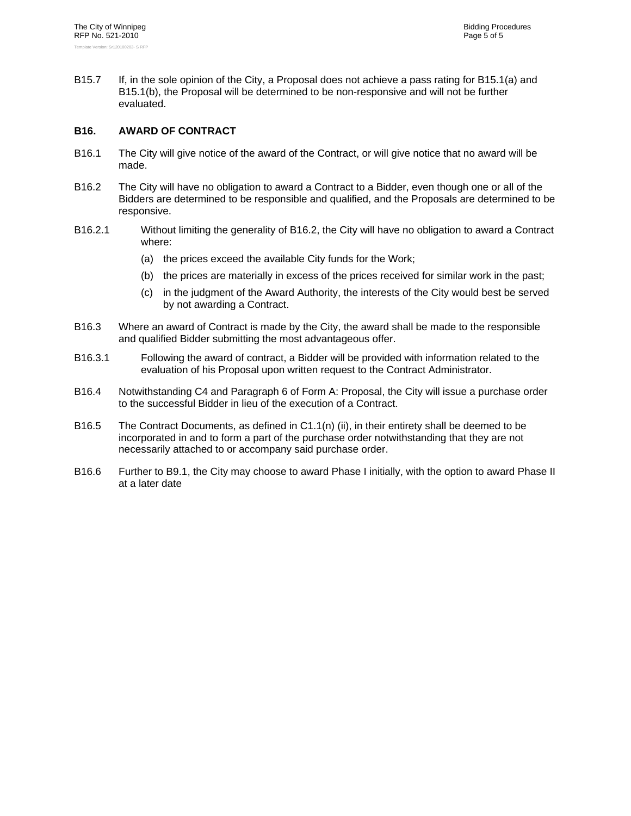B15.7 If, in the sole opinion of the City, a Proposal does not achieve a pass rating for B15.1(a) and B15.1(b), the Proposal will be determined to be non-responsive and will not be further evaluated.

# **B16. AWARD OF CONTRACT**

- B16.1 The City will give notice of the award of the Contract, or will give notice that no award will be made.
- B16.2 The City will have no obligation to award a Contract to a Bidder, even though one or all of the Bidders are determined to be responsible and qualified, and the Proposals are determined to be responsive.
- B16.2.1 Without limiting the generality of B16.2, the City will have no obligation to award a Contract where:
	- (a) the prices exceed the available City funds for the Work;
	- (b) the prices are materially in excess of the prices received for similar work in the past;
	- (c) in the judgment of the Award Authority, the interests of the City would best be served by not awarding a Contract.
- B16.3 Where an award of Contract is made by the City, the award shall be made to the responsible and qualified Bidder submitting the most advantageous offer.
- B16.3.1 Following the award of contract, a Bidder will be provided with information related to the evaluation of his Proposal upon written request to the Contract Administrator.
- B16.4 Notwithstanding C4 and Paragraph 6 of Form A: Proposal, the City will issue a purchase order to the successful Bidder in lieu of the execution of a Contract.
- B16.5 The Contract Documents, as defined in C1.1(n) (ii), in their entirety shall be deemed to be incorporated in and to form a part of the purchase order notwithstanding that they are not necessarily attached to or accompany said purchase order.
- B16.6 Further to B9.1, the City may choose to award Phase I initially, with the option to award Phase II at a later date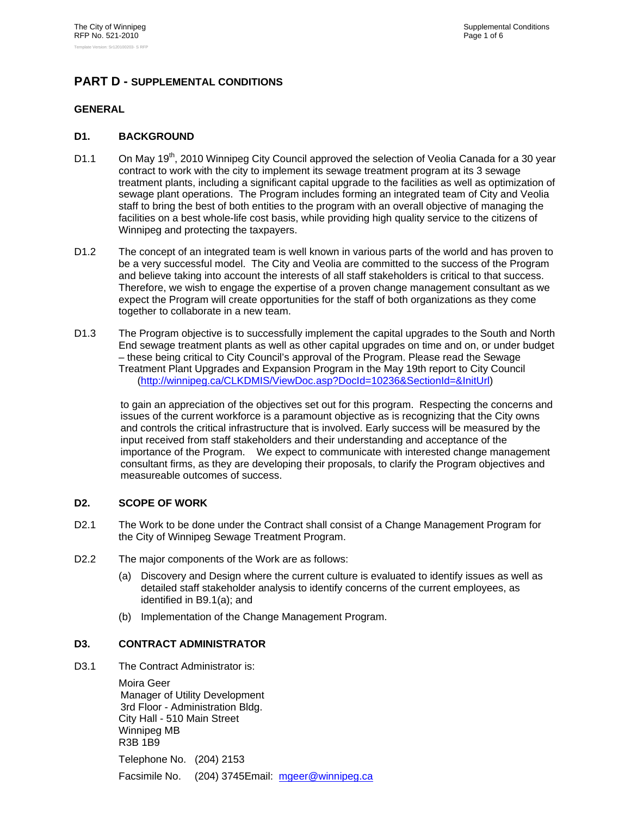# **PART D - SUPPLEMENTAL CONDITIONS**

# **GENERAL**

# **D1. BACKGROUND**

- D1.1 On May 19<sup>th</sup>, 2010 Winnipeg City Council approved the selection of Veolia Canada for a 30 year contract to work with the city to implement its sewage treatment program at its 3 sewage treatment plants, including a significant capital upgrade to the facilities as well as optimization of sewage plant operations. The Program includes forming an integrated team of City and Veolia staff to bring the best of both entities to the program with an overall objective of managing the facilities on a best whole-life cost basis, while providing high quality service to the citizens of Winnipeg and protecting the taxpayers.
- D1.2 The concept of an integrated team is well known in various parts of the world and has proven to be a very successful model. The City and Veolia are committed to the success of the Program and believe taking into account the interests of all staff stakeholders is critical to that success. Therefore, we wish to engage the expertise of a proven change management consultant as we expect the Program will create opportunities for the staff of both organizations as they come together to collaborate in a new team.
- D1.3 The Program objective is to successfully implement the capital upgrades to the South and North End sewage treatment plants as well as other capital upgrades on time and on, or under budget – these being critical to City Council's approval of the Program. Please read the Sewage Treatment Plant Upgrades and Expansion Program in the May 19th report to City Council (http://winnipeg.ca/CLKDMIS/ViewDoc.asp?DocId=10236&SectionId=&InitUrl)

to gain an appreciation of the objectives set out for this program. Respecting the concerns and issues of the current workforce is a paramount objective as is recognizing that the City owns and controls the critical infrastructure that is involved. Early success will be measured by the input received from staff stakeholders and their understanding and acceptance of the importance of the Program. We expect to communicate with interested change management consultant firms, as they are developing their proposals, to clarify the Program objectives and measureable outcomes of success.

# **D2. SCOPE OF WORK**

- D2.1 The Work to be done under the Contract shall consist of a Change Management Program for the City of Winnipeg Sewage Treatment Program.
- D2.2 The major components of the Work are as follows:
	- (a) Discovery and Design where the current culture is evaluated to identify issues as well as detailed staff stakeholder analysis to identify concerns of the current employees, as identified in B9.1(a); and
	- (b) Implementation of the Change Management Program.

# **D3. CONTRACT ADMINISTRATOR**

D3.1 The Contract Administrator is:

Moira Geer Manager of Utility Development 3rd Floor - Administration Bldg. City Hall - 510 Main Street Winnipeg MB R3B 1B9 Telephone No. (204) 2153 Facsimile No. (204) 3745Email: mgeer@winnipeg.ca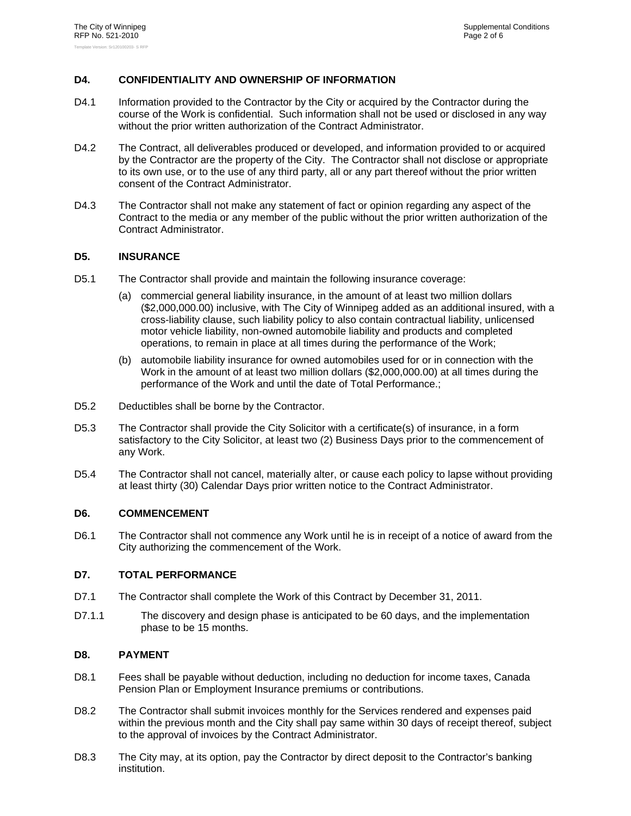# **D4. CONFIDENTIALITY AND OWNERSHIP OF INFORMATION**

- D4.1 Information provided to the Contractor by the City or acquired by the Contractor during the course of the Work is confidential. Such information shall not be used or disclosed in any way without the prior written authorization of the Contract Administrator.
- D4.2 The Contract, all deliverables produced or developed, and information provided to or acquired by the Contractor are the property of the City. The Contractor shall not disclose or appropriate to its own use, or to the use of any third party, all or any part thereof without the prior written consent of the Contract Administrator.
- D4.3 The Contractor shall not make any statement of fact or opinion regarding any aspect of the Contract to the media or any member of the public without the prior written authorization of the Contract Administrator.

# **D5. INSURANCE**

- D5.1 The Contractor shall provide and maintain the following insurance coverage:
	- (a) commercial general liability insurance, in the amount of at least two million dollars (\$2,000,000.00) inclusive, with The City of Winnipeg added as an additional insured, with a cross-liability clause, such liability policy to also contain contractual liability, unlicensed motor vehicle liability, non-owned automobile liability and products and completed operations, to remain in place at all times during the performance of the Work;
	- (b) automobile liability insurance for owned automobiles used for or in connection with the Work in the amount of at least two million dollars (\$2,000,000.00) at all times during the performance of the Work and until the date of Total Performance.;
- D5.2 Deductibles shall be borne by the Contractor.
- D5.3 The Contractor shall provide the City Solicitor with a certificate(s) of insurance, in a form satisfactory to the City Solicitor, at least two (2) Business Days prior to the commencement of any Work.
- D5.4 The Contractor shall not cancel, materially alter, or cause each policy to lapse without providing at least thirty (30) Calendar Days prior written notice to the Contract Administrator.

# **D6. COMMENCEMENT**

D6.1 The Contractor shall not commence any Work until he is in receipt of a notice of award from the City authorizing the commencement of the Work.

# **D7. TOTAL PERFORMANCE**

- D7.1 The Contractor shall complete the Work of this Contract by December 31, 2011.
- D7.1.1 The discovery and design phase is anticipated to be 60 days, and the implementation phase to be 15 months.

# **D8. PAYMENT**

- D8.1 Fees shall be payable without deduction, including no deduction for income taxes, Canada Pension Plan or Employment Insurance premiums or contributions.
- D8.2 The Contractor shall submit invoices monthly for the Services rendered and expenses paid within the previous month and the City shall pay same within 30 days of receipt thereof, subject to the approval of invoices by the Contract Administrator.
- D8.3 The City may, at its option, pay the Contractor by direct deposit to the Contractor's banking institution.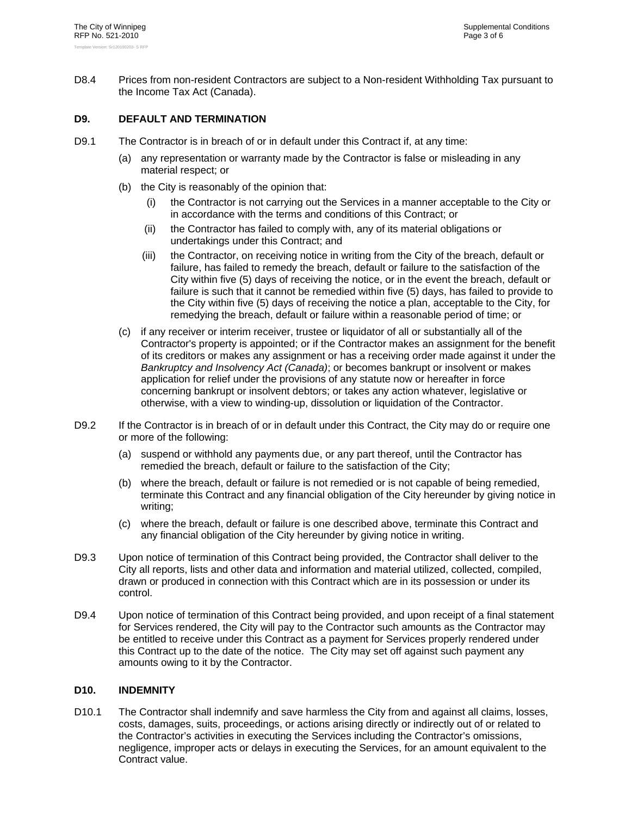D8.4 Prices from non-resident Contractors are subject to a Non-resident Withholding Tax pursuant to the Income Tax Act (Canada).

# **D9. DEFAULT AND TERMINATION**

- D9.1 The Contractor is in breach of or in default under this Contract if, at any time:
	- (a) any representation or warranty made by the Contractor is false or misleading in any material respect; or
	- (b) the City is reasonably of the opinion that:
		- (i) the Contractor is not carrying out the Services in a manner acceptable to the City or in accordance with the terms and conditions of this Contract; or
		- (ii) the Contractor has failed to comply with, any of its material obligations or undertakings under this Contract; and
		- (iii) the Contractor, on receiving notice in writing from the City of the breach, default or failure, has failed to remedy the breach, default or failure to the satisfaction of the City within five (5) days of receiving the notice, or in the event the breach, default or failure is such that it cannot be remedied within five (5) days, has failed to provide to the City within five (5) days of receiving the notice a plan, acceptable to the City, for remedying the breach, default or failure within a reasonable period of time; or
	- (c) if any receiver or interim receiver, trustee or liquidator of all or substantially all of the Contractor's property is appointed; or if the Contractor makes an assignment for the benefit of its creditors or makes any assignment or has a receiving order made against it under the *Bankruptcy and Insolvency Act (Canada)*; or becomes bankrupt or insolvent or makes application for relief under the provisions of any statute now or hereafter in force concerning bankrupt or insolvent debtors; or takes any action whatever, legislative or otherwise, with a view to winding-up, dissolution or liquidation of the Contractor.
- D9.2 If the Contractor is in breach of or in default under this Contract, the City may do or require one or more of the following:
	- (a) suspend or withhold any payments due, or any part thereof, until the Contractor has remedied the breach, default or failure to the satisfaction of the City;
	- (b) where the breach, default or failure is not remedied or is not capable of being remedied, terminate this Contract and any financial obligation of the City hereunder by giving notice in writing;
	- (c) where the breach, default or failure is one described above, terminate this Contract and any financial obligation of the City hereunder by giving notice in writing.
- D9.3 Upon notice of termination of this Contract being provided, the Contractor shall deliver to the City all reports, lists and other data and information and material utilized, collected, compiled, drawn or produced in connection with this Contract which are in its possession or under its control.
- D9.4 Upon notice of termination of this Contract being provided, and upon receipt of a final statement for Services rendered, the City will pay to the Contractor such amounts as the Contractor may be entitled to receive under this Contract as a payment for Services properly rendered under this Contract up to the date of the notice. The City may set off against such payment any amounts owing to it by the Contractor.

# **D10. INDEMNITY**

D10.1 The Contractor shall indemnify and save harmless the City from and against all claims, losses, costs, damages, suits, proceedings, or actions arising directly or indirectly out of or related to the Contractor's activities in executing the Services including the Contractor's omissions, negligence, improper acts or delays in executing the Services, for an amount equivalent to the Contract value.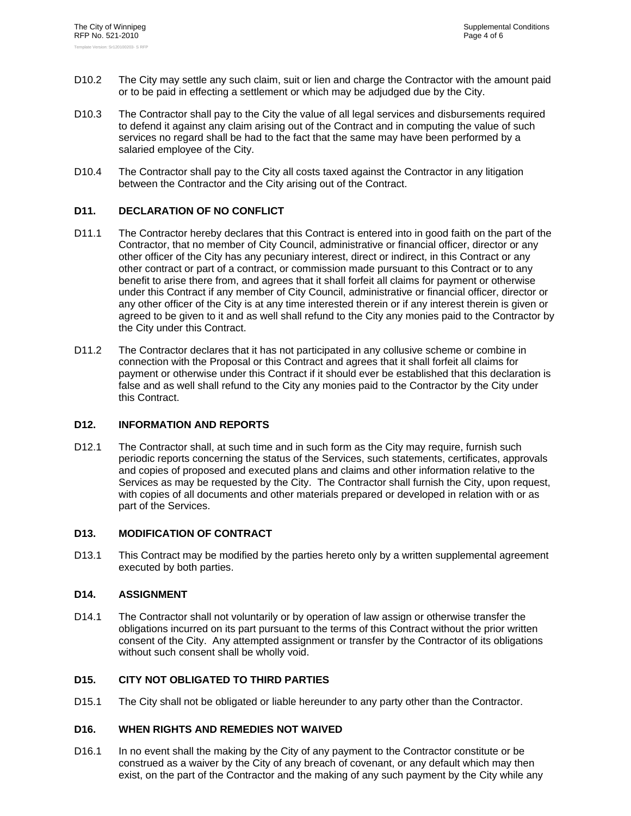- D10.2 The City may settle any such claim, suit or lien and charge the Contractor with the amount paid or to be paid in effecting a settlement or which may be adjudged due by the City.
- D10.3 The Contractor shall pay to the City the value of all legal services and disbursements required to defend it against any claim arising out of the Contract and in computing the value of such services no regard shall be had to the fact that the same may have been performed by a salaried employee of the City.
- D10.4 The Contractor shall pay to the City all costs taxed against the Contractor in any litigation between the Contractor and the City arising out of the Contract.

# **D11. DECLARATION OF NO CONFLICT**

- D11.1 The Contractor hereby declares that this Contract is entered into in good faith on the part of the Contractor, that no member of City Council, administrative or financial officer, director or any other officer of the City has any pecuniary interest, direct or indirect, in this Contract or any other contract or part of a contract, or commission made pursuant to this Contract or to any benefit to arise there from, and agrees that it shall forfeit all claims for payment or otherwise under this Contract if any member of City Council, administrative or financial officer, director or any other officer of the City is at any time interested therein or if any interest therein is given or agreed to be given to it and as well shall refund to the City any monies paid to the Contractor by the City under this Contract.
- D11.2 The Contractor declares that it has not participated in any collusive scheme or combine in connection with the Proposal or this Contract and agrees that it shall forfeit all claims for payment or otherwise under this Contract if it should ever be established that this declaration is false and as well shall refund to the City any monies paid to the Contractor by the City under this Contract.

# **D12. INFORMATION AND REPORTS**

D12.1 The Contractor shall, at such time and in such form as the City may require, furnish such periodic reports concerning the status of the Services, such statements, certificates, approvals and copies of proposed and executed plans and claims and other information relative to the Services as may be requested by the City. The Contractor shall furnish the City, upon request, with copies of all documents and other materials prepared or developed in relation with or as part of the Services.

# **D13. MODIFICATION OF CONTRACT**

D13.1 This Contract may be modified by the parties hereto only by a written supplemental agreement executed by both parties.

# **D14. ASSIGNMENT**

D14.1 The Contractor shall not voluntarily or by operation of law assign or otherwise transfer the obligations incurred on its part pursuant to the terms of this Contract without the prior written consent of the City. Any attempted assignment or transfer by the Contractor of its obligations without such consent shall be wholly void.

# **D15. CITY NOT OBLIGATED TO THIRD PARTIES**

D15.1 The City shall not be obligated or liable hereunder to any party other than the Contractor.

# **D16. WHEN RIGHTS AND REMEDIES NOT WAIVED**

D16.1 In no event shall the making by the City of any payment to the Contractor constitute or be construed as a waiver by the City of any breach of covenant, or any default which may then exist, on the part of the Contractor and the making of any such payment by the City while any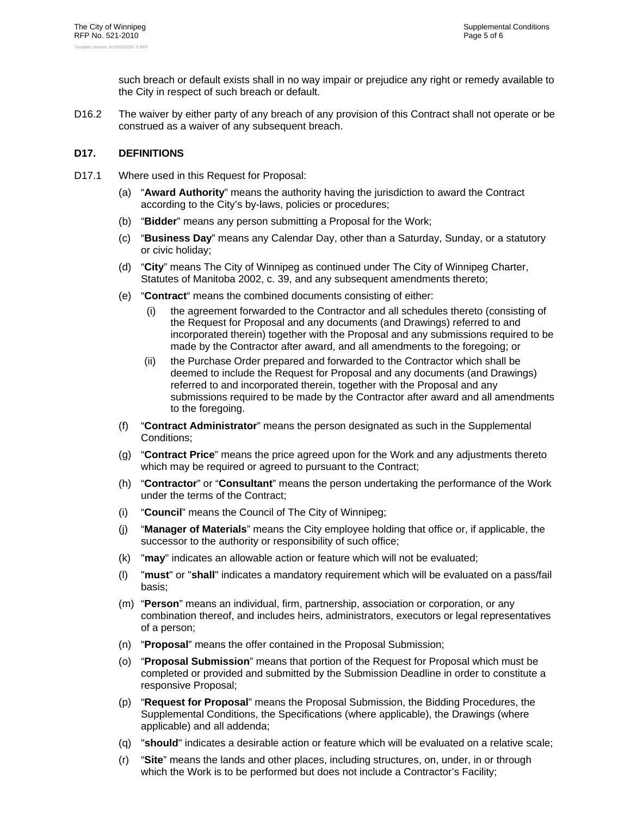such breach or default exists shall in no way impair or prejudice any right or remedy available to the City in respect of such breach or default.

D16.2 The waiver by either party of any breach of any provision of this Contract shall not operate or be construed as a waiver of any subsequent breach.

# **D17. DEFINITIONS**

- D17.1 Where used in this Request for Proposal:
	- (a) "**Award Authority**" means the authority having the jurisdiction to award the Contract according to the City's by-laws, policies or procedures;
	- (b) "**Bidder**" means any person submitting a Proposal for the Work;
	- (c) "**Business Day**" means any Calendar Day, other than a Saturday, Sunday, or a statutory or civic holiday;
	- (d) "**City**" means The City of Winnipeg as continued under The City of Winnipeg Charter, Statutes of Manitoba 2002, c. 39, and any subsequent amendments thereto;
	- (e) "**Contract**" means the combined documents consisting of either:
		- (i) the agreement forwarded to the Contractor and all schedules thereto (consisting of the Request for Proposal and any documents (and Drawings) referred to and incorporated therein) together with the Proposal and any submissions required to be made by the Contractor after award, and all amendments to the foregoing; or
		- (ii) the Purchase Order prepared and forwarded to the Contractor which shall be deemed to include the Request for Proposal and any documents (and Drawings) referred to and incorporated therein, together with the Proposal and any submissions required to be made by the Contractor after award and all amendments to the foregoing.
	- (f) "**Contract Administrator**" means the person designated as such in the Supplemental Conditions;
	- (g) "**Contract Price**" means the price agreed upon for the Work and any adjustments thereto which may be required or agreed to pursuant to the Contract;
	- (h) "**Contractor**" or "**Consultant**" means the person undertaking the performance of the Work under the terms of the Contract;
	- (i) "**Council**" means the Council of The City of Winnipeg;
	- (j) "**Manager of Materials**" means the City employee holding that office or, if applicable, the successor to the authority or responsibility of such office;
	- (k) "**may**" indicates an allowable action or feature which will not be evaluated;
	- (l) "**must**" or "**shall**" indicates a mandatory requirement which will be evaluated on a pass/fail basis;
	- (m) "**Person**" means an individual, firm, partnership, association or corporation, or any combination thereof, and includes heirs, administrators, executors or legal representatives of a person;
	- (n) "**Proposal**" means the offer contained in the Proposal Submission;
	- (o) "**Proposal Submission**" means that portion of the Request for Proposal which must be completed or provided and submitted by the Submission Deadline in order to constitute a responsive Proposal;
	- (p) "**Request for Proposal**" means the Proposal Submission, the Bidding Procedures, the Supplemental Conditions, the Specifications (where applicable), the Drawings (where applicable) and all addenda;
	- (q) "**should**" indicates a desirable action or feature which will be evaluated on a relative scale;
	- (r) "**Site**" means the lands and other places, including structures, on, under, in or through which the Work is to be performed but does not include a Contractor's Facility;